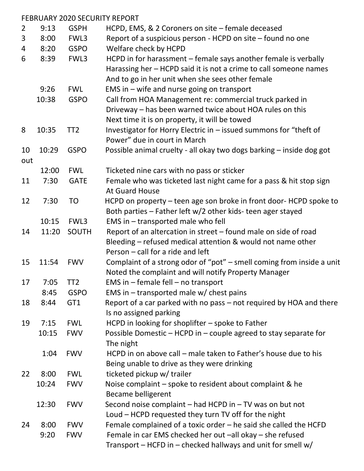|                |       |                 | <b>FEBRUARY 2020 SECURITY REPORT</b>                                                 |
|----------------|-------|-----------------|--------------------------------------------------------------------------------------|
| $\overline{2}$ | 9:13  | <b>GSPH</b>     | HCPD, EMS, & 2 Coroners on site - female deceased                                    |
| 3              | 8:00  | FWL3            | Report of a suspicious person - HCPD on site – found no one                          |
| 4              | 8:20  | <b>GSPO</b>     | Welfare check by HCPD                                                                |
| 6              | 8:39  | FWL3            | HCPD in for harassment - female says another female is verbally                      |
|                |       |                 | Harassing her - HCPD said it is not a crime to call someone names                    |
|                |       |                 | And to go in her unit when she sees other female                                     |
|                | 9:26  | <b>FWL</b>      | EMS in $-$ wife and nurse going on transport                                         |
|                | 10:38 | <b>GSPO</b>     | Call from HOA Management re: commercial truck parked in                              |
|                |       |                 | Driveway - has been warned twice about HOA rules on this                             |
|                |       |                 | Next time it is on property, it will be towed                                        |
| 8              | 10:35 | TT <sub>2</sub> | Investigator for Horry Electric in - issued summons for "theft of                    |
|                |       |                 | Power" due in court in March                                                         |
| 10             | 10:29 | <b>GSPO</b>     | Possible animal cruelty - all okay two dogs barking - inside dog got                 |
| out            |       |                 |                                                                                      |
|                | 12:00 | <b>FWL</b>      | Ticketed nine cars with no pass or sticker                                           |
| 11             | 7:30  | <b>GATE</b>     | Female who was ticketed last night came for a pass & hit stop sign<br>At Guard House |
| 12             | 7:30  | TO              | HCPD on property - teen age son broke in front door-HCPD spoke to                    |
|                |       |                 | Both parties - Father left w/2 other kids- teen ager stayed                          |
|                | 10:15 | FWL3            | EMS in - transported male who fell                                                   |
| 14             | 11:20 | SOUTH           | Report of an altercation in street - found male on side of road                      |
|                |       |                 | Bleeding - refused medical attention & would not name other                          |
|                |       |                 | Person – call for a ride and left                                                    |
| 15             | 11:54 | <b>FWV</b>      | Complaint of a strong odor of "pot" - smell coming from inside a unit                |
|                |       |                 | Noted the complaint and will notify Property Manager                                 |
| 17             | 7:05  | TT2             | EMS in $-$ female fell $-$ no transport                                              |
|                | 8:45  | <b>GSPO</b>     | EMS in $-$ transported male w/ chest pains                                           |
| 18             | 8:44  | GT1             | Report of a car parked with no pass – not required by HOA and there                  |
|                |       |                 | Is no assigned parking                                                               |
| 19             | 7:15  | <b>FWL</b>      | HCPD in looking for shoplifter $-$ spoke to Father                                   |
|                | 10:15 | <b>FWV</b>      | Possible Domestic – HCPD in – couple agreed to stay separate for                     |
|                |       |                 | The night                                                                            |
|                | 1:04  | <b>FWV</b>      | HCPD in on above call - male taken to Father's house due to his                      |
|                |       |                 | Being unable to drive as they were drinking                                          |
| 22             | 8:00  | <b>FWL</b>      | ticketed pickup w/ trailer                                                           |
|                | 10:24 | <b>FWV</b>      | Noise complaint – spoke to resident about complaint & he                             |
|                |       |                 | <b>Became belligerent</b>                                                            |
|                | 12:30 | <b>FWV</b>      | Second noise complaint $-$ had HCPD in $-$ TV was on but not                         |
|                |       |                 | Loud - HCPD requested they turn TV off for the night                                 |
| 24             | 8:00  | <b>FWV</b>      | Female complained of a toxic order $-$ he said she called the HCFD                   |
|                | 9:20  | <b>FWV</b>      | Female in car EMS checked her out -all okay - she refused                            |
|                |       |                 | Transport $-$ HCFD in $-$ checked hallways and unit for smell w/                     |